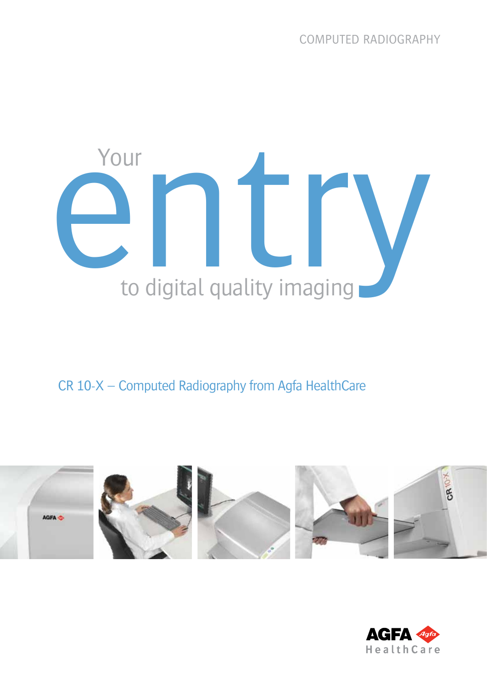# Your<br>
entry **in the contract of the Contract of the Contract of the Contract of the Contract of Table Street** Your

CR 10-X – Computed Radiography from Agfa HealthCare



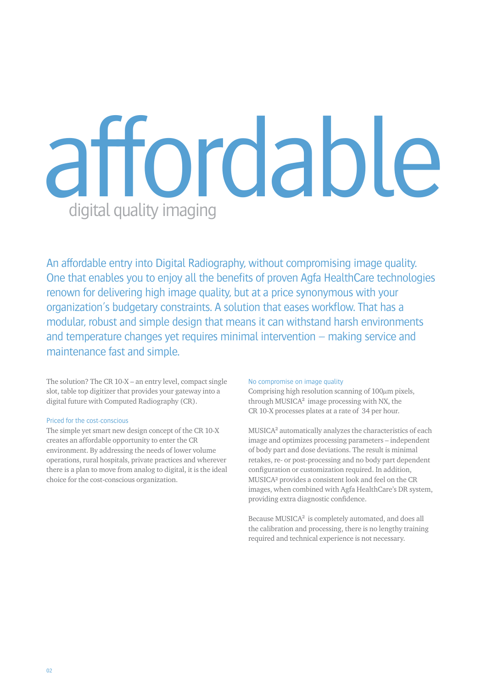### affordable digital quality imaging

An affordable entry into Digital Radiography, without compromising image quality. One that enables you to enjoy all the benefits of proven Agfa HealthCare technologies renown for delivering high image quality, but at a price synonymous with your organization's budgetary constraints. A solution that eases workflow. That has a modular, robust and simple design that means it can withstand harsh environments and temperature changes yet requires minimal intervention – making service and maintenance fast and simple.

The solution? The CR 10-X – an entry level, compact single slot, table top digitizer that provides your gateway into a digital future with Computed Radiography (CR).

### Priced for the cost-conscious

The simple yet smart new design concept of the CR 10-X creates an affordable opportunity to enter the CR environment. By addressing the needs of lower volume operations, rural hospitals, private practices and wherever there is a plan to move from analog to digital, it is the ideal choice for the cost-conscious organization.

### No compromise on image quality

Comprising high resolution scanning of  $100\mu$ m pixels, through MUSICA² image processing with NX, the CR 10-X processes plates at a rate of 34 per hour.

MUSICA² automatically analyzes the characteristics of each image and optimizes processing parameters – independent of body part and dose deviations. The result is minimal retakes, re- or post-processing and no body part dependent configuration or customization required. In addition, MUSICA² provides a consistent look and feel on the CR images, when combined with Agfa HealthCare's DR system, providing extra diagnostic confidence.

Because MUSICA² is completely automated, and does all the calibration and processing, there is no lengthy training required and technical experience is not necessary.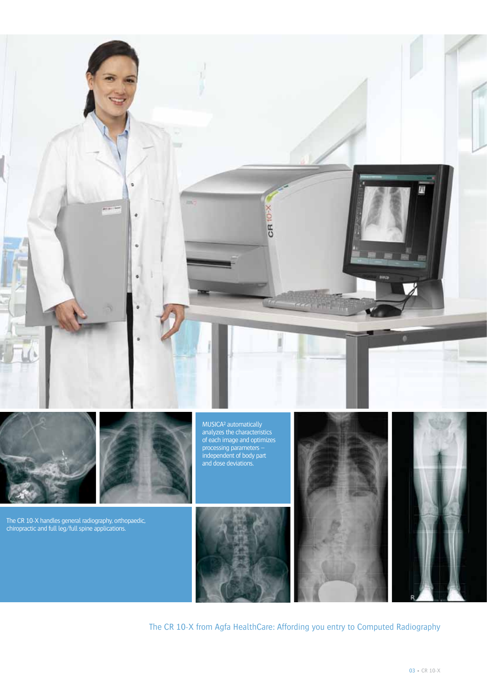

The CR 10-X from Agfa HealthCare: Affording you entry to Computed Radiography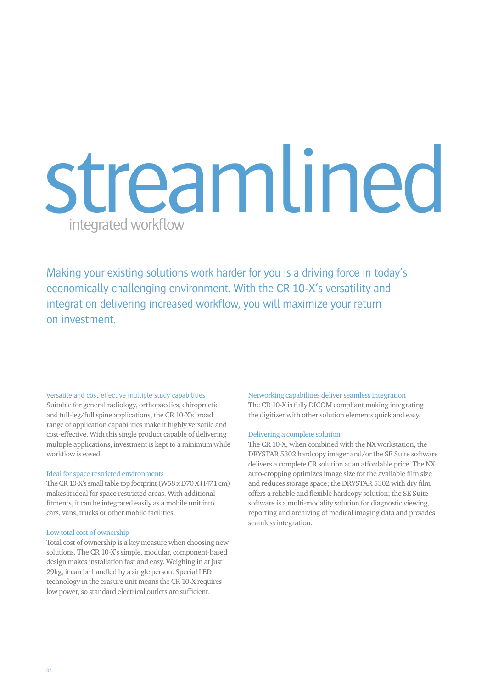### streamlined integrated workflow

Making your existing solutions work harder for you is a driving force in today's economically challenging environment. With the CR 10-X's versatility and integration delivering increased workflow, you will maximize your return on investment.

### Versatile and cost-effective multiple study capabilities

Suitable for general radiology, orthopaedics, chiropractic and full-leg/full spine applications, the CR 10-X's broad range of application capabilities make it highly versatile and cost-effective. With this single product capable of delivering multiple applications, investment is kept to a minimum while workflow is eased.

### Ideal for space restricted environments

The CR 10-X's small table top footprint (W58 x D70 X H47.1 cm) makes it ideal for space restricted areas. With additional fitments, it can be integrated easily as a mobile unit into cars, vans, trucks or other mobile facilities.

### Low total cost of ownership

Total cost of ownership is a key measure when choosing new solutions. The CR 10-X's simple, modular, component-based design makes installation fast and easy. Weighing in at just 29kg, it can be handled by a single person. Special LED technology in the erasure unit means the CR 10-X requires low power, so standard electrical outlets are sufficient.

### Networking capabilities deliver seamless integration

The CR 10-X is fully DICOM compliant making integrating the digitizer with other solution elements quick and easy.

### Delivering a complete solution

The CR 10-X, when combined with the NX workstation, the DRYSTAR 5302 hardcopy imager and/or the SE Suite software delivers a complete CR solution at an affordable price. The NX auto-cropping optimizes image size for the available film size and reduces storage space; the DRYSTAR 5302 with dry film offers a reliable and flexible hardcopy solution; the SE Suite software is a multi-modality solution for diagnostic viewing, reporting and archiving of medical imaging data and provides seamless integration.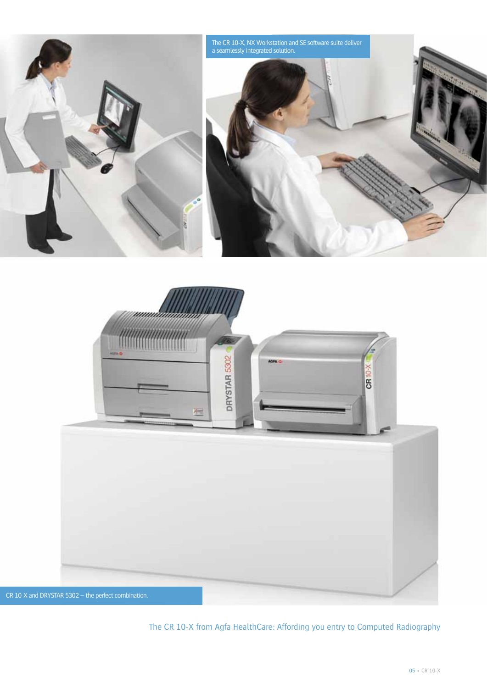



The CR 10-X from Agfa HealthCare: Affording you entry to Computed Radiography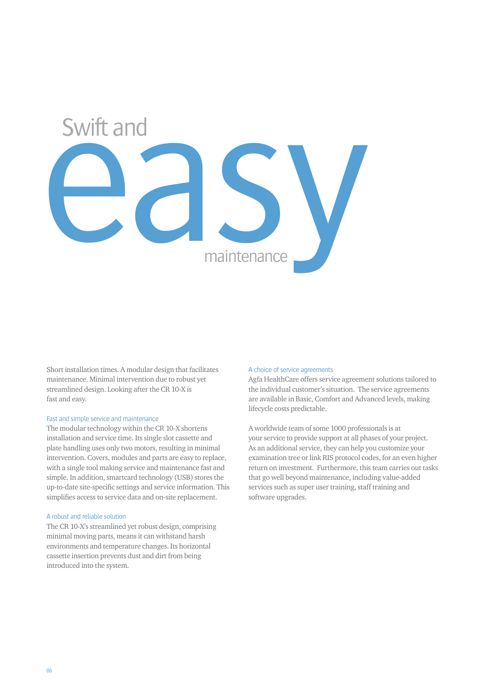## easy maintenance Swift and

Short installation times. A modular design that facilitates maintenance. Minimal intervention due to robust yet streamlined design. Looking after the CR 10-X is fast and easy.

### Fast and simple service and maintenance

The modular technology within the CR 10-X shortens installation and service time. Its single slot cassette and plate handling uses only two motors, resulting in minimal intervention. Covers, modules and parts are easy to replace, with a single tool making service and maintenance fast and simple. In addition, smartcard technology (USB) stores the up-to-date site-specific settings and service information. This simplifies access to service data and on-site replacement.

### A robust and reliable solution

The CR 10-X's streamlined yet robust design, comprising minimal moving parts, means it can withstand harsh environments and temperature changes. Its horizontal cassette insertion prevents dust and dirt from being introduced into the system.

### A choice of service agreements

Agfa HealthCare offers service agreement solutions tailored to the individual customer's situation. The service agreements are available in Basic, Comfort and Advanced levels, making lifecycle costs predictable.

A worldwide team of some 1000 professionals is at your service to provide support at all phases of your project. As an additional service, they can help you customize your examination tree or link RIS protocol codes, for an even higher return on investment. Furthermore, this team carries out tasks that go well beyond maintenance, including value-added services such as super user training, staff training and software upgrades.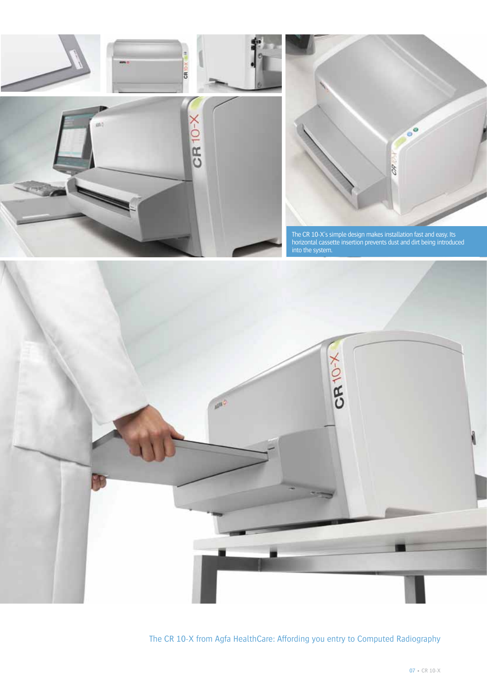



The CR 10-X's simple design makes installation fast and easy. Its horizontal cassette insertion prevents dust and dirt being introduced into the system.